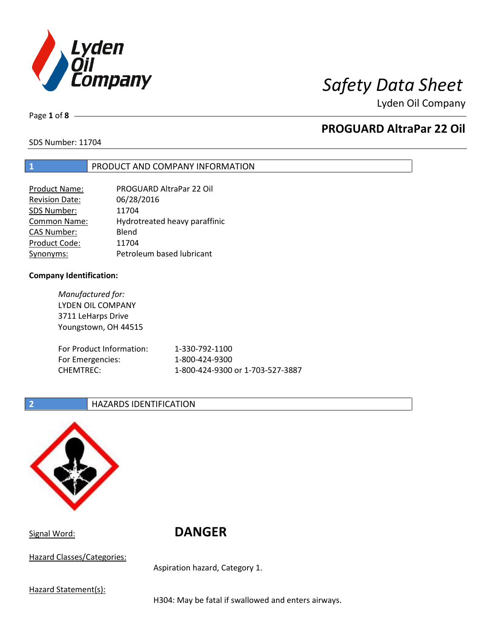

Page **1** of **8**

# **PROGUARD AltraPar 22 Oil**

SDS Number: 11704

### **1** PRODUCT AND COMPANY INFORMATION

| Product Name:       | PROGUARD AltraPar 22 Oil      |
|---------------------|-------------------------------|
| Revision Date:      | 06/28/2016                    |
| SDS Number:         | 11704                         |
| <b>Common Name:</b> | Hydrotreated heavy paraffinic |
| <b>CAS Number:</b>  | Blend                         |
| Product Code:       | 11704                         |
| Synonyms:           | Petroleum based lubricant     |

### **Company Identification:**

*Manufactured for:* LYDEN OIL COMPANY 3711 LeHarps Drive Youngstown, OH 44515 For Product Information: 1-330-792-1100 For Emergencies: 1-800-424-9300 CHEMTREC: 1-800-424-9300 or 1-703-527-3887

### **2 HAZARDS IDENTIFICATION**



Signal Word: **DANGER**

Hazard Classes/Categories:

Aspiration hazard, Category 1.

Hazard Statement(s):

H304: May be fatal if swallowed and enters airways.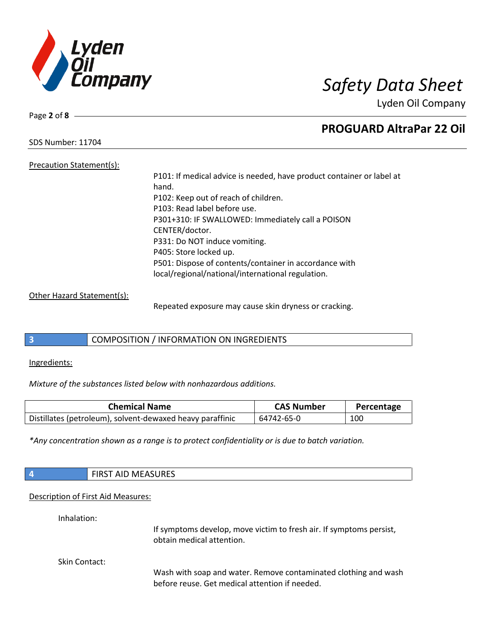

Page **2** of **8**

# **PROGUARD AltraPar 22 Oil**

SDS Number: 11704

Precaution Statement(s): P101: If medical advice is needed, have product container or label at hand. P102: Keep out of reach of children. P103: Read label before use. P301+310: IF SWALLOWED: Immediately call a POISON CENTER/doctor. P331: Do NOT induce vomiting. P405: Store locked up. P501: Dispose of contents/container in accordance with local/regional/national/international regulation.

### Other Hazard Statement(s):

Repeated exposure may cause skin dryness or cracking.

### **3** COMPOSITION / INFORMATION ON INGREDIENTS

Ingredients:

*Mixture of the substances listed below with nonhazardous additions.*

| <b>Chemical Name</b>                                      | <b>CAS Number</b> | Percentage |
|-----------------------------------------------------------|-------------------|------------|
| Distillates (petroleum), solvent-dewaxed heavy paraffinic | 64742-65-0        | 100        |

*\*Any concentration shown as a range is to protect confidentiality or is due to batch variation.*

|                      | <b>FIRST AID MEASURES</b>                                                                                         |
|----------------------|-------------------------------------------------------------------------------------------------------------------|
|                      | Description of First Aid Measures:                                                                                |
| Inhalation:          | If symptoms develop, move victim to fresh air. If symptoms persist,<br>obtain medical attention.                  |
| <b>Skin Contact:</b> | Wash with soap and water. Remove contaminated clothing and wash<br>before reuse. Get medical attention if needed. |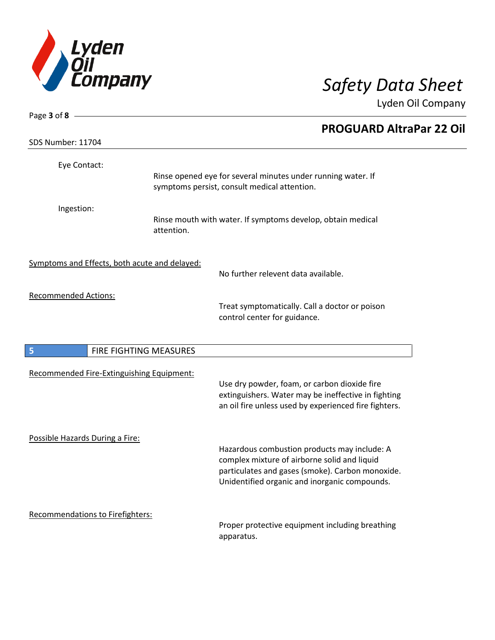

| Page 3 of 8 $-$                               |            |                                                                                                                                                                                                   |
|-----------------------------------------------|------------|---------------------------------------------------------------------------------------------------------------------------------------------------------------------------------------------------|
|                                               |            | <b>PROGUARD AltraPar 22 Oil</b>                                                                                                                                                                   |
| SDS Number: 11704                             |            |                                                                                                                                                                                                   |
| Eye Contact:                                  |            | Rinse opened eye for several minutes under running water. If<br>symptoms persist, consult medical attention.                                                                                      |
| Ingestion:                                    | attention. | Rinse mouth with water. If symptoms develop, obtain medical                                                                                                                                       |
| Symptoms and Effects, both acute and delayed: |            | No further relevent data available.                                                                                                                                                               |
| <b>Recommended Actions:</b>                   |            | Treat symptomatically. Call a doctor or poison<br>control center for guidance.                                                                                                                    |
| 5<br>FIRE FIGHTING MEASURES                   |            |                                                                                                                                                                                                   |
| Recommended Fire-Extinguishing Equipment:     |            | Use dry powder, foam, or carbon dioxide fire<br>extinguishers. Water may be ineffective in fighting<br>an oil fire unless used by experienced fire fighters.                                      |
| Possible Hazards During a Fire:               |            | Hazardous combustion products may include: A<br>complex mixture of airborne solid and liquid<br>particulates and gases (smoke). Carbon monoxide.<br>Unidentified organic and inorganic compounds. |
| Recommendations to Firefighters:              |            | Proper protective equipment including breathing<br>apparatus.                                                                                                                                     |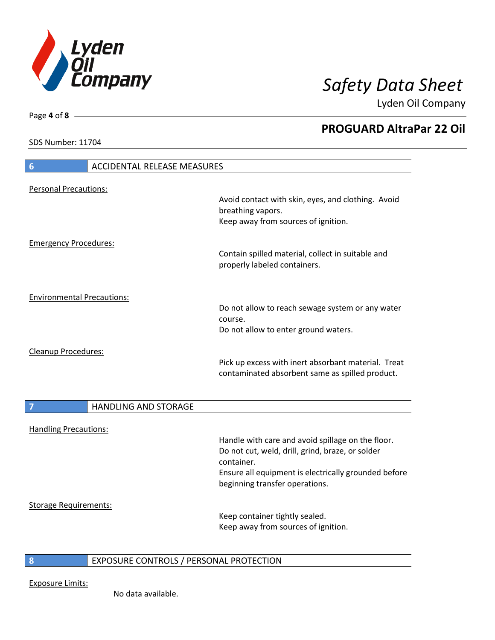

**PROGUARD AltraPar 22 Oil**

Lyden Oil Company

SDS Number: 11704

Page **4** of **8**

# **6** ACCIDENTAL RELEASE MEASURES Personal Precautions: Avoid contact with skin, eyes, and clothing. Avoid breathing vapors. Keep away from sources of ignition. Emergency Procedures: Contain spilled material, collect in suitable and properly labeled containers. Environmental Precautions: Do not allow to reach sewage system or any water course. Do not allow to enter ground waters. Cleanup Procedures: Pick up excess with inert absorbant material. Treat contaminated absorbent same as spilled product. **7 HANDLING AND STORAGE** Handling Precautions: Handle with care and avoid spillage on the floor. Do not cut, weld, drill, grind, braze, or solder container. Ensure all equipment is electrically grounded before beginning transfer operations. Storage Requirements: Keep container tightly sealed. Keep away from sources of ignition.

### **8** EXPOSURE CONTROLS / PERSONAL PROTECTION

Exposure Limits: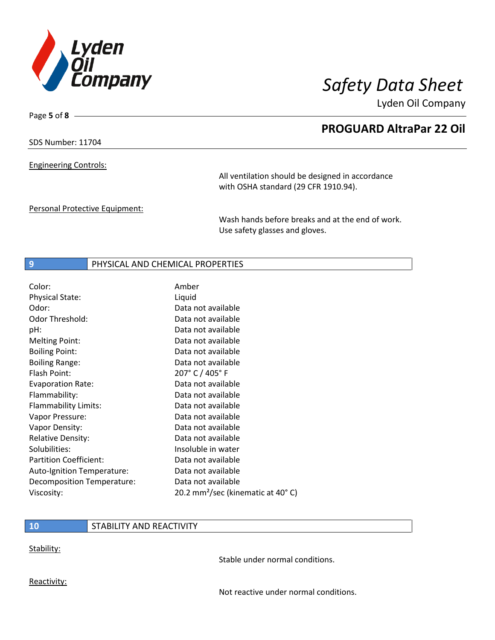

Page **5** of **8**

# **PROGUARD AltraPar 22 Oil**

Lyden Oil Company

SDS Number: 11704

Engineering Controls:

All ventilation should be designed in accordance with OSHA standard (29 CFR 1910.94).

Personal Protective Equipment:

Wash hands before breaks and at the end of work. Use safety glasses and gloves.

### **9** PHYSICAL AND CHEMICAL PROPERTIES

| Amber                                         |
|-----------------------------------------------|
| Liquid                                        |
| Data not available                            |
| Data not available                            |
| Data not available                            |
| Data not available                            |
| Data not available                            |
| Data not available                            |
| 207° C / 405° F                               |
| Data not available                            |
| Data not available                            |
| Data not available                            |
| Data not available                            |
| Data not available                            |
| Data not available                            |
| Insoluble in water                            |
| Data not available                            |
| Data not available                            |
| Data not available                            |
| 20.2 mm <sup>2</sup> /sec (kinematic at 40°C) |
|                                               |

### **10** STABILITY AND REACTIVITY

Stability:

Stable under normal conditions.

Reactivity:

Not reactive under normal conditions.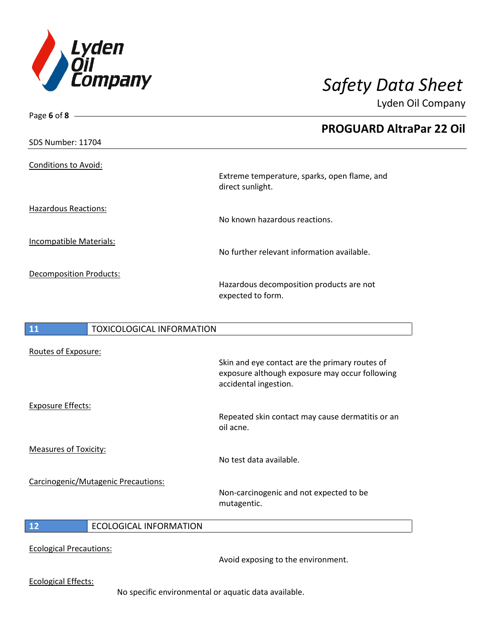

| Page 6 of 8 $\longrightarrow$          |                                                                                                                           |
|----------------------------------------|---------------------------------------------------------------------------------------------------------------------------|
|                                        | <b>PROGUARD AltraPar 22 Oil</b>                                                                                           |
| SDS Number: 11704                      |                                                                                                                           |
| <b>Conditions to Avoid:</b>            | Extreme temperature, sparks, open flame, and<br>direct sunlight.                                                          |
| <b>Hazardous Reactions:</b>            | No known hazardous reactions.                                                                                             |
| Incompatible Materials:                | No further relevant information available.                                                                                |
| <b>Decomposition Products:</b>         | Hazardous decomposition products are not<br>expected to form.                                                             |
| <b>TOXICOLOGICAL INFORMATION</b><br>11 |                                                                                                                           |
| Routes of Exposure:                    | Skin and eye contact are the primary routes of<br>exposure although exposure may occur following<br>accidental ingestion. |
| <b>Exposure Effects:</b>               | Repeated skin contact may cause dermatitis or an<br>oil acne.                                                             |
| <b>Measures of Toxicity:</b>           | No test data available.                                                                                                   |
| Carcinogenic/Mutagenic Precautions:    | Non-carcinogenic and not expected to be<br>mutagentic.                                                                    |

### **12** ECOLOGICAL INFORMATION

Ecological Precautions:

Avoid exposing to the environment.

Ecological Effects:

No specific environmental or aquatic data available.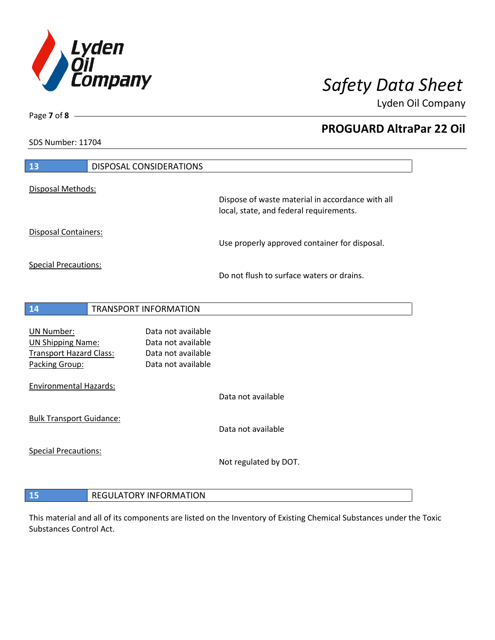

**PROGUARD AltraPar 22 Oil**

Lyden Oil Company

SDS Number: 11704

| 13                                               | DISPOSAL CONSIDERATIONS                  |                                                                                             |
|--------------------------------------------------|------------------------------------------|---------------------------------------------------------------------------------------------|
| Disposal Methods:                                |                                          |                                                                                             |
|                                                  |                                          | Dispose of waste material in accordance with all<br>local, state, and federal requirements. |
| Disposal Containers:                             |                                          | Use properly approved container for disposal.                                               |
| <b>Special Precautions:</b>                      |                                          | Do not flush to surface waters or drains.                                                   |
| 14                                               | <b>TRANSPORT INFORMATION</b>             |                                                                                             |
|                                                  |                                          |                                                                                             |
| <b>UN Number:</b>                                | Data not available                       |                                                                                             |
| <b>UN Shipping Name:</b>                         | Data not available                       |                                                                                             |
| <b>Transport Hazard Class:</b><br>Packing Group: | Data not available<br>Data not available |                                                                                             |
| <b>Environmental Hazards:</b>                    |                                          |                                                                                             |
|                                                  |                                          | Data not available                                                                          |
| <b>Bulk Transport Guidance:</b>                  |                                          |                                                                                             |
|                                                  |                                          | Data not available                                                                          |
| <b>Special Precautions:</b>                      |                                          |                                                                                             |
|                                                  |                                          | Not regulated by DOT.                                                                       |
|                                                  |                                          |                                                                                             |
| 15                                               | <b>REGULATORY INFORMATION</b>            |                                                                                             |

This material and all of its components are listed on the Inventory of Existing Chemical Substances under the Toxic Substances Control Act.